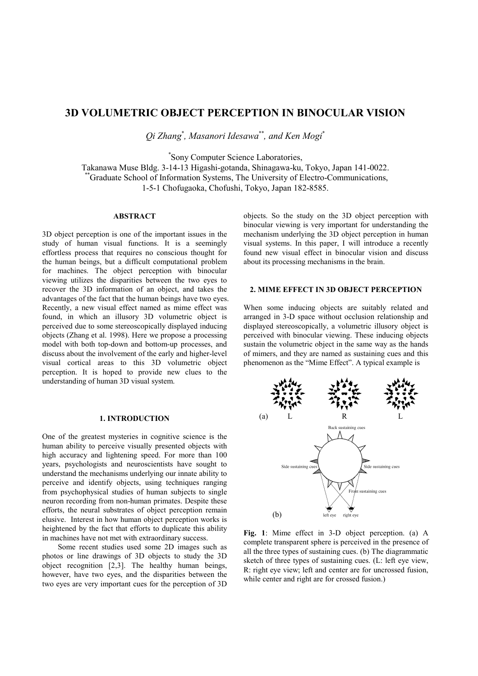# **3D VOLUMETRIC OBJECT PERCEPTION IN BINOCULAR VISION**

*Qi Zhang*\* *, Masanori Idesawa*\*\**, and Ken Mogi*\*

\* Sony Computer Science Laboratories,

Takanawa Muse Bldg. 3-14-13 Higashi-gotanda, Shinagawa-ku, Tokyo, Japan 141-0022. \*\*Graduate School of Information Systems, The University of Electro-Communications, 1-5-1 Chofugaoka, Chofushi, Tokyo, Japan 182-8585.

## **ABSTRACT**

3D object perception is one of the important issues in the study of human visual functions. It is a seemingly effortless process that requires no conscious thought for the human beings, but a difficult computational problem for machines. The object perception with binocular viewing utilizes the disparities between the two eyes to recover the 3D information of an object, and takes the advantages of the fact that the human beings have two eyes. Recently, a new visual effect named as mime effect was found, in which an illusory 3D volumetric object is perceived due to some stereoscopically displayed inducing objects (Zhang et al. 1998). Here we propose a processing model with both top-down and bottom-up processes, and discuss about the involvement of the early and higher-level visual cortical areas to this 3D volumetric object perception. It is hoped to provide new clues to the understanding of human 3D visual system.

# **1. INTRODUCTION**

One of the greatest mysteries in cognitive science is the human ability to perceive visually presented objects with high accuracy and lightening speed. For more than 100 years, psychologists and neuroscientists have sought to understand the mechanisms underlying our innate ability to perceive and identify objects, using techniques ranging from psychophysical studies of human subjects to single neuron recording from non-human primates. Despite these efforts, the neural substrates of object perception remain elusive. Interest in how human object perception works is heightened by the fact that efforts to duplicate this ability in machines have not met with extraordinary success.

Some recent studies used some 2D images such as photos or line drawings of 3D objects to study the 3D object recognition [2,3]. The healthy human beings, however, have two eyes, and the disparities between the two eyes are very important cues for the perception of 3D objects. So the study on the 3D object perception with binocular viewing is very important for understanding the mechanism underlying the 3D object perception in human visual systems. In this paper, I will introduce a recently found new visual effect in binocular vision and discuss about its processing mechanisms in the brain.

## **2. MIME EFFECT IN 3D OBJECT PERCEPTION**

When some inducing objects are suitably related and arranged in 3-D space without occlusion relationship and displayed stereoscopically, a volumetric illusory object is perceived with binocular viewing. These inducing objects sustain the volumetric object in the same way as the hands of mimers, and they are named as sustaining cues and this phenomenon as the "Mime Effect". A typical example is



**Fig. 1**: Mime effect in 3-D object perception. (a) A complete transparent sphere is perceived in the presence of all the three types of sustaining cues. (b) The diagrammatic sketch of three types of sustaining cues. (L: left eye view, R: right eye view; left and center are for uncrossed fusion, while center and right are for crossed fusion.)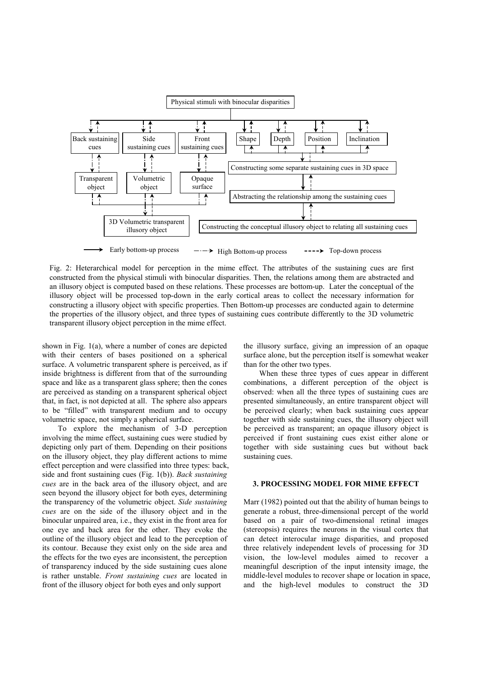

Fig. 2: Heterarchical model for perception in the mime effect. The attributes of the sustaining cues are first constructed from the physical stimuli with binocular disparities. Then, the relations among them are abstracted and an illusory object is computed based on these relations. These processes are bottom-up. Later the conceptual of the illusory object will be processed top-down in the early cortical areas to collect the necessary information for constructing a illusory object with specific properties. Then Bottom-up processes are conducted again to determine the properties of the illusory object, and three types of sustaining cues contribute differently to the 3D volumetric transparent illusory object perception in the mime effect.

shown in Fig. 1(a), where a number of cones are depicted with their centers of bases positioned on a spherical surface. A volumetric transparent sphere is perceived, as if inside brightness is different from that of the surrounding space and like as a transparent glass sphere; then the cones are perceived as standing on a transparent spherical object that, in fact, is not depicted at all. The sphere also appears to be "filled" with transparent medium and to occupy volumetric space, not simply a spherical surface.

To explore the mechanism of 3-D perception involving the mime effect, sustaining cues were studied by depicting only part of them. Depending on their positions on the illusory object, they play different actions to mime effect perception and were classified into three types: back, side and front sustaining cues (Fig. 1(b)). *Back sustaining cues* are in the back area of the illusory object, and are seen beyond the illusory object for both eyes, determining the transparency of the volumetric object. *Side sustaining cues* are on the side of the illusory object and in the binocular unpaired area, i.e., they exist in the front area for one eye and back area for the other. They evoke the outline of the illusory object and lead to the perception of its contour. Because they exist only on the side area and the effects for the two eyes are inconsistent, the perception of transparency induced by the side sustaining cues alone is rather unstable. *Front sustaining cues* are located in front of the illusory object for both eyes and only support

the illusory surface, giving an impression of an opaque surface alone, but the perception itself is somewhat weaker than for the other two types.

When these three types of cues appear in different combinations, a different perception of the object is observed: when all the three types of sustaining cues are presented simultaneously, an entire transparent object will be perceived clearly; when back sustaining cues appear together with side sustaining cues, the illusory object will be perceived as transparent; an opaque illusory object is perceived if front sustaining cues exist either alone or together with side sustaining cues but without back sustaining cues.

## **3. PROCESSING MODEL FOR MIME EFFECT**

Marr (1982) pointed out that the ability of human beings to generate a robust, three-dimensional percept of the world based on a pair of two-dimensional retinal images (stereopsis) requires the neurons in the visual cortex that can detect interocular image disparities, and proposed three relatively independent levels of processing for 3D vision, the low-level modules aimed to recover a meaningful description of the input intensity image, the middle-level modules to recover shape or location in space, and the high-level modules to construct the 3D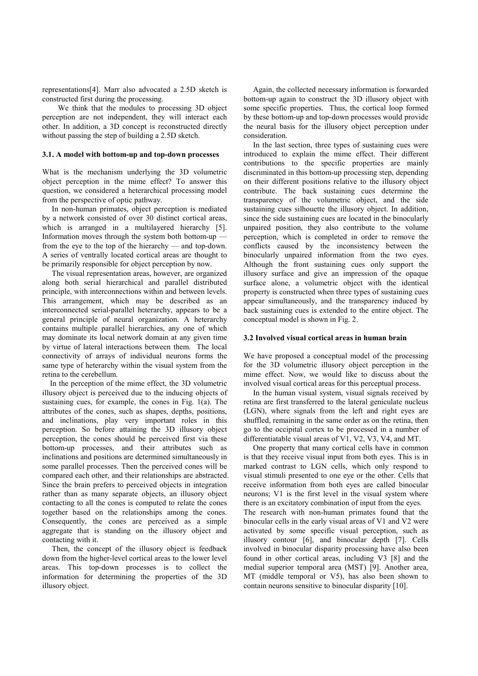representations[4]. Marr also advocated a 2.5D sketch is constructed first during the processing.

We think that the modules to processing 3D object perception are not independent, they will interact each other. In addition, a 3D concept is reconstructed directly without passing the step of building a 2.5D sketch.

#### **3.1. A model with bottom-up and top-down processes**

What is the mechanism underlying the 3D volumetric object perception in the mime effect? To answer this question, we considered a heterarchical processing model from the perspective of optic pathway.

In non-human primates, object perception is mediated by a network consisted of over 30 distinct cortical areas, which is arranged in a multilayered hierarchy [5]. Information moves through the system both bottom-up from the eye to the top of the hierarchy — and top-down. A series of ventrally located cortical areas are thought to be primarily responsible for object perception by now.

The visual representation areas, however, are organized along both serial hierarchical and parallel distributed principle, with interconnections within and between levels. This arrangement, which may be described as an interconnected serial-parallel heterarchy, appears to be a general principle of neural organization. A heterarchy contains multiple parallel hierarchies, any one of which may dominate its local network domain at any given time by virtue of lateral interactions between them. The local connectivity of arrays of individual neurons forms the same type of heterarchy within the visual system from the retina to the cerebellum.

In the perception of the mime effect, the 3D volumetric illusory object is perceived due to the inducing objects of sustaining cues, for example, the cones in Fig. 1(a). The attributes of the cones, such as shapes, depths, positions, and inclinations, play very important roles in this perception. So before attaining the 3D illusory object perception, the cones should be perceived first via these bottom-up processes, and their attributes such as inclinations and positions are determined simultaneously in some parallel processes. Then the perceived cones will be compared each other, and their relationships are abstracted. Since the brain prefers to perceived objects in integration rather than as many separate objects, an illusory object contacting to all the cones is computed to relate the cones together based on the relationships among the cones. Consequently, the cones are perceived as a simple aggregate that is standing on the illusory object and contacting with it.

Then, the concept of the illusory object is feedback down from the higher-level cortical areas to the lower level areas. This top-down processes is to collect the information for determining the properties of the 3D illusory object.

Again, the collected necessary information is forwarded bottom-up again to construct the 3D illusory object with some specific properties. Thus, the cortical loop formed by these bottom-up and top-down processes would provide the neural basis for the illusory object perception under consideration.

In the last section, three types of sustaining cues were introduced to explain the mime effect. Their different contributions to the specific properties are mainly discriminated in this bottom-up processing step, depending on their different positions relative to the illusory object contribute. The back sustaining cues determine the transparency of the volumetric object, and the side sustaining cues silhouette the illusory object. In addition, since the side sustaining cues are located in the binocularly unpaired position, they also contribute to the volume perception, which is completed in order to remove the conflicts caused by the inconsistency between the binocularly unpaired information from the two eyes. Although the front sustaining cues only support the illusory surface and give an impression of the opaque surface alone, a volumetric object with the identical property is constructed when three types of sustaining cues appear simultaneously, and the transparency induced by back sustaining cues is extended to the entire object. The conceptual model is shown in Fig. 2.

## **3.2 Involved visual cortical areas in human brain**

We have proposed a conceptual model of the processing for the 3D volumetric illusory object perception in the mime effect. Now, we would like to discuss about the involved visual cortical areas for this perceptual process.

In the human visual system, visual signals received by retina are first transferred to the lateral geniculate nucleus (LGN), where signals from the left and right eyes are shuffled, remaining in the same order as on the retina, then go to the occipital cortex to be processed in a number of differentiatable visual areas of V1, V2, V3, V4, and MT.

One property that many cortical cells have in common is that they receive visual input from both eyes. This is in marked contrast to LGN cells, which only respond to visual stimuli presented to one eye or the other. Cells that receive information from both eyes are called binocular neurons; V1 is the first level in the visual system where there is an excitatory combination of input from the eyes. The research with non-human primates found that the binocular cells in the early visual areas of V1 and V2 were activated by some specific visual perception, such as illusory contour [6], and binocular depth [7]. Cells involved in binocular disparity processing have also been found in other cortical areas, including V3 [8] and the medial superior temporal area (MST) [9]. Another area, MT (middle temporal or V5), has also been shown to contain neurons sensitive to binocular disparity [10].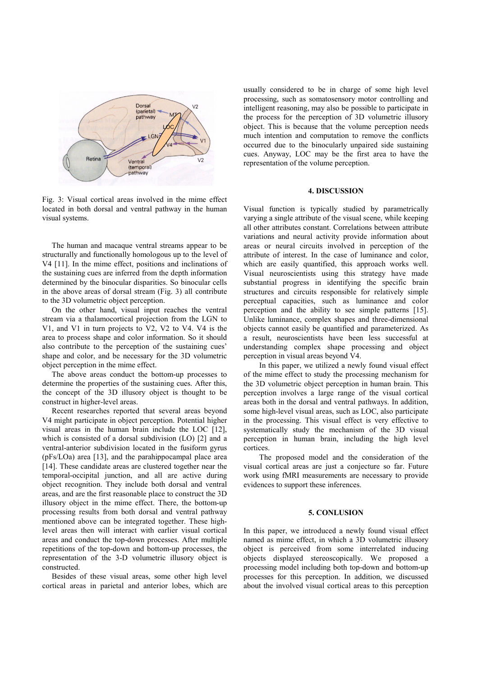

Fig. 3: Visual cortical areas involved in the mime effect located in both dorsal and ventral pathway in the human visual systems.

The human and macaque ventral streams appear to be structurally and functionally homologous up to the level of V4 [11]. In the mime effect, positions and inclinations of the sustaining cues are inferred from the depth information determined by the binocular disparities. So binocular cells in the above areas of dorsal stream (Fig. 3) all contribute to the 3D volumetric object perception.

On the other hand, visual input reaches the ventral stream via a thalamocortical projection from the LGN to V1, and V1 in turn projects to V2, V2 to V4. V4 is the area to process shape and color information. So it should also contribute to the perception of the sustaining cues' shape and color, and be necessary for the 3D volumetric object perception in the mime effect.

The above areas conduct the bottom-up processes to determine the properties of the sustaining cues. After this, the concept of the 3D illusory object is thought to be construct in higher-level areas.

Recent researches reported that several areas beyond V4 might participate in object perception. Potential higher visual areas in the human brain include the LOC [12], which is consisted of a dorsal subdivision (LO) [2] and a ventral-anterior subdivision located in the fusiform gyrus (pFs/LOa) area [13], and the parahippocampal place area [14]. These candidate areas are clustered together near the temporal-occipital junction, and all are active during object recognition. They include both dorsal and ventral areas, and are the first reasonable place to construct the 3D illusory object in the mime effect. There, the bottom-up processing results from both dorsal and ventral pathway mentioned above can be integrated together. These highlevel areas then will interact with earlier visual cortical areas and conduct the top-down processes. After multiple repetitions of the top-down and bottom-up processes, the representation of the 3-D volumetric illusory object is constructed.

Besides of these visual areas, some other high level cortical areas in parietal and anterior lobes, which are usually considered to be in charge of some high level processing, such as somatosensory motor controlling and intelligent reasoning, may also be possible to participate in the process for the perception of 3D volumetric illusory object. This is because that the volume perception needs much intention and computation to remove the conflicts occurred due to the binocularly unpaired side sustaining cues. Anyway, LOC may be the first area to have the representation of the volume perception.

#### **4. DISCUSSION**

Visual function is typically studied by parametrically varying a single attribute of the visual scene, while keeping all other attributes constant. Correlations between attribute variations and neural activity provide information about areas or neural circuits involved in perception of the attribute of interest. In the case of luminance and color, which are easily quantified, this approach works well. Visual neuroscientists using this strategy have made substantial progress in identifying the specific brain structures and circuits responsible for relatively simple perceptual capacities, such as luminance and color perception and the ability to see simple patterns [15]. Unlike luminance, complex shapes and three-dimensional objects cannot easily be quantified and parameterized. As a result, neuroscientists have been less successful at understanding complex shape processing and object perception in visual areas beyond V4.

In this paper, we utilized a newly found visual effect of the mime effect to study the processing mechanism for the 3D volumetric object perception in human brain. This perception involves a large range of the visual cortical areas both in the dorsal and ventral pathways. In addition, some high-level visual areas, such as LOC, also participate in the processing. This visual effect is very effective to systematically study the mechanism of the 3D visual perception in human brain, including the high level cortices.

The proposed model and the consideration of the visual cortical areas are just a conjecture so far. Future work using fMRI measurements are necessary to provide evidences to support these inferences.

#### **5. CONLUSION**

In this paper, we introduced a newly found visual effect named as mime effect, in which a 3D volumetric illusory object is perceived from some interrelated inducing objects displayed stereoscopically. We proposed a processing model including both top-down and bottom-up processes for this perception. In addition, we discussed about the involved visual cortical areas to this perception